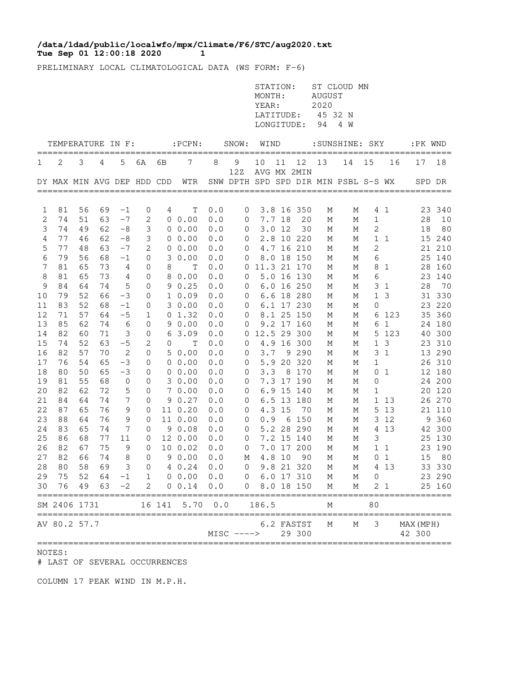## **Tue Sep 01 12:00:18 2020 1 /data/ldad/public/localwfo/mpx/Climate/F6/STC/aug2020.txt**

PRELIMINARY LOCAL CLIMATOLOGICAL DATA (WS FORM: F-6)

|          |                            |          |          |                 |                 |        |                                        |            |                  | STATION:<br>MONTH:<br>YEAR:<br>LATITUDE:<br>LONGITUDE: |         |                          | <b>AUGUST</b><br>2020<br>94 | ST CLOUD MN<br>45 32 N<br>4 W        |              |                   |                     |                  |
|----------|----------------------------|----------|----------|-----------------|-----------------|--------|----------------------------------------|------------|------------------|--------------------------------------------------------|---------|--------------------------|-----------------------------|--------------------------------------|--------------|-------------------|---------------------|------------------|
|          | TEMPERATURE IN F:          |          |          |                 |                 |        | $:$ PCPN $:$                           |            | SNOW:            | WIND                                                   |         |                          |                             | : SUNSHINE: SKY                      |              |                   | :PK WND             |                  |
| 1        | 2                          | 3        | 4        | 5               | 6A              | 6В     | 7                                      | 8          | 9                | 10                                                     | 11      | 12                       | 13                          | 14                                   | 15           | 16                | 17                  | ====<br>18       |
|          | DY MAX MIN AVG DEP HDD CDD |          |          |                 |                 |        | WTR<br>=============================== |            | 12Z              |                                                        |         | AVG MX 2MIN              |                             | SNW DPTH SPD SPD DIR MIN PSBL S-S WX |              |                   | SPD DR              |                  |
|          | 81                         | 56       |          |                 |                 |        |                                        | 0.0        |                  |                                                        |         | 3.8 16 350               |                             |                                      |              |                   |                     |                  |
| 1<br>2   | 74                         | 51       | 69<br>63 | $^{-1}$<br>$-7$ | 0<br>$\sqrt{2}$ | 4      | Т<br>$0\;\;0.00$                       | 0.0        | $\mathbf 0$<br>0 |                                                        | 7.7 18  | 20                       | М<br>М                      | М<br>М                               | 1            | 4 1               | 28                  | 23 340<br>10     |
| 3        | 74                         | 49       | 62       | $-8$            | 3               |        | $0\;\;0.00$                            | 0.0        | 0                | 3.0                                                    | -12     | 30                       | М                           | М                                    | 2            |                   | 18                  | 80               |
| 4        | 77                         | 46       | 62       | $-8$            | 3               |        | $0\;\;0.00$                            | 0.0        | 0                |                                                        |         | 2.8 10 220               | М                           | М                                    | $\mathbf 1$  | 1                 |                     | 15 240           |
| 5        | 77                         | 48       | 63       | $-7$            | $\mathbf{2}$    | 0      | 0.00                                   | 0.0        | 0                |                                                        |         | 4.7 16 210               | М                           | М                                    | 2            |                   |                     | 21 210           |
| 6        | 79                         | 56       | 68       | $-1$            | 0               | 3      | 0.00                                   | 0.0        | 0                | 8.0                                                    |         | 18 150                   | М                           | М                                    | 6            |                   | 25                  | 140              |
| 7        | 81                         | 65       | 73       | 4               | 0               | 8      | Т                                      | 0.0        | 0                |                                                        |         | 11.3 21 170              | Μ                           | Μ                                    | 8            | 1                 | 28                  | 160              |
| 8<br>9   | 81<br>84                   | 65<br>64 | 73<br>74 | 4<br>5          | 0<br>0          | 8      | 0.00<br>90.25                          | 0.0<br>0.0 | 0<br>0           |                                                        |         | 5.0 16 130<br>6.0 16 250 | М<br>М                      | М<br>М                               | 6<br>3       | 1                 | 23<br>28            | 140<br>70        |
| 10       | 79                         | 52       | 66       | $-3$            | 0               |        | 10.09                                  | 0.0        | 0                |                                                        |         | 6.6 18 280               | М                           | М                                    | $\mathbf 1$  | 3                 |                     | 31 330           |
| 11       | 83                         | 52       | 68       | $-1$            | 0               |        | 30.00                                  | 0.0        | 0                |                                                        |         | 6.1 17 230               | М                           | М                                    | $\mathbf{0}$ |                   | 23                  | 220              |
| 12       | 71                         | 57       | 64       | $-5$            | 1               |        | 01.32                                  | 0.0        | 0                |                                                        |         | 8.1 25 150               | М                           | М                                    | 6            | 123               | 35                  | 360              |
| 13       | 85                         | 62       | 74       | 6               | 0               | 9      | 0.00                                   | 0.0        | 0                |                                                        |         | 9.2 17 160               | М                           | М                                    | 6            | $\mathbf{1}$      | 24                  | 180              |
| 14       | 82                         | 60       | 71       | 3               | 0               | 6      | 3.09                                   | 0.0        | 0                |                                                        |         | 12.5 29 300              | М                           | М                                    | 5            | 123               | 40                  | 300              |
| 15       | 74                         | 52       | 63       | $-5$            | 2               | 0      | Т                                      | 0.0        | 0                | 4.9                                                    |         | 16 300                   | М                           | М                                    | $\mathbf{1}$ | 3                 | 23                  | 310              |
| 16       | 82                         | 57       | 70       | $\mathbf{2}$    | $\mathbf 0$     |        | 50.00                                  | 0.0        | 0                | 3.7                                                    |         | 9 2 9 0                  | М                           | М                                    | 3            | 1                 |                     | 13 290           |
| 17<br>18 | 76<br>80                   | 54<br>50 | 65<br>65 | $-3$<br>$-3$    | 0<br>0          |        | $0\;\;0.00$<br>$0\;\;0.00$             | 0.0<br>0.0 | 0<br>0           | 5.9<br>3.3                                             | 20<br>8 | 320<br>170               | М<br>М                      | М<br>М                               | 1<br>0       | $\mathbf{1}$      |                     | 26 310<br>12 180 |
| 19       | 81                         | 55       | 68       | 0               | 0               |        | 3 0.00                                 | 0.0        | 0                |                                                        |         | 7.3 17 190               | М                           | М                                    | 0            |                   |                     | 24 200           |
| 20       | 82                         | 62       | 72       | 5               | 0               |        | 7 0.00                                 | 0.0        | 0                |                                                        |         | 6.9 15 140               | М                           | М                                    | 1            |                   |                     | 20 120           |
| 21       | 84                         | 64       | 74       | 7               | 0               |        | 90.27                                  | 0.0        | 0                |                                                        |         | 6.5 13 180               | М                           | М                                    | $\mathbf 1$  | 13                |                     | 26 270           |
| 22       | 87                         | 65       | 76       | 9               | 0               |        | 11 0.20                                | 0.0        | 0                |                                                        | 4.3 15  | 70                       | М                           | М                                    | 5            | 13                |                     | 21 110           |
| 23       | 88                         | 64       | 76       | 9               | 0               |        | 11 0.00                                | 0.0        | 0                | 0.9                                                    | 6       | 150                      | М                           | М                                    | 3            | 12                | 9                   | 360              |
| 24       | 83                         | 65       | 74       | 7               | 0               |        | 90.08                                  | 0.0        | 0                |                                                        |         | 5.2 28 290               | М                           | М                                    | 4            | 13                |                     | 42 300           |
| 25       | 86                         | 68       | 77       | 11              | 0               |        | 12 0.00                                | 0.0        | 0                |                                                        |         | 7.2 15 140               | М                           | М                                    | 3            |                   | 25                  | 130              |
| 26       | 82                         | 67<br>66 | 75       | 9               | 0               |        | 10 0.02                                | 0.0        | 0                |                                                        |         | 7.0 17 200               | М                           | М                                    | $\mathbf{1}$ | $\mathbf{1}$      | 23                  | 190              |
| 27<br>28 | 82<br>80                   | 58       | 74<br>69 | 8<br>3          | 0<br>$\Omega$   |        | 90.00<br>4 0.24                        | 0.0<br>0.0 | М<br>$\Omega$    |                                                        | 4.8 10  | 90<br>9.8 21 320         | М<br>М                      | М<br>М                               | 0<br>4       | $\mathbf 1$<br>13 | 15                  | 80<br>33 330     |
| 29       | 75                         | 52       |          | $64 - 1$        | $\mathbf{1}$    |        | $0\ 0.00\ 0.0$                         |            | 0 6.0 17 310     |                                                        |         |                          | M                           | М                                    | 0            |                   |                     | 23 290           |
| 30       | 76                         | 49       |          | $63 -2$         | 2               |        | 0 0.14                                 | 0.0        |                  | $0\quad 8.0\quad 18\quad 150$                          |         |                          | М                           | М                                    |              | 2 <sub>1</sub>    |                     | 25 160           |
|          | SM 2406 1731               |          |          |                 |                 | 16 141 | 5.70                                   | 0.0        |                  | 186.5                                                  |         |                          | М                           |                                      | 80           |                   |                     |                  |
|          | AV 80.2 57.7               |          |          |                 |                 |        |                                        |            | $MISC$ ---->     |                                                        |         | 6.2 FASTST<br>29 300     | Μ                           | М                                    | 3            |                   | MAX (MPH)<br>42 300 |                  |

## NOTES:

# LAST OF SEVERAL OCCURRENCES

COLUMN 17 PEAK WIND IN M.P.H.